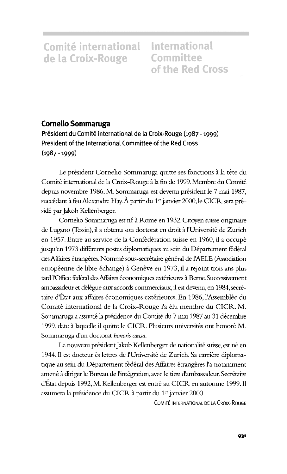Comité international International de la Croix-Rouge Committee

of the Red Cross

## **Comelio Sommaruga**

Président du Comité international de la Croix-Rouge (1987 - 1999) President of the International Committee of the Red Cross (1987 -1999)

Le président Cornelio Sommaruga quitte ses fonctions à la tête du Comite international de la Croix-Rouge a la fin de 1999. Membre du Comite depuis novembre 1986, M. Sommaruga est devenu président le 7 mai 1987, succédant à feu Alexandre Hay. À partir du 1<sup>er</sup> janvier 2000, le CICR sera préside par Jakob Kellenberger.

Cornelio Sommaruga est né à Rome en 1932. Citoyen suisse originaire de Lugano (Tessin), il a obtenu son doctorat en droit à l'Université de Zurich en 1957. Entré au service de la Confédération suisse en 1960, il a occupé jusqu'en 1973 différents postes diplomatiques au sein du Département fédéral des Affaires étrangères. Nommé sous-secrétaire général de l'AELE (Association européenne de libre échange) à Genève en 1973, il a rejoint trois ans plus tard l'Office fédéral des Affaires économiques extérieures à Berne. Successivement ambassadeur et délégué aux accords commerciaux, il est devenu, en 1984, secrétaire d'État aux affaires économiques extérieures. En 1986, l'Assemblée du Comité international de la Croix-Rouge l'a élu membre du CICR. M. Sommaruga a assumé la présidence du Comité du 7 mai 1987 au 31 décembre 1999, date à laquelle il quitte le CICR. Plusieurs universités ont honoré M. Sommaruga d'un doctorat *honoris causa.*

Le nouveau président Jakob Kellenberger, de nationalité suisse, est né en 1944. Il est docteur ès lettres de l'Université de Zurich. Sa carrière diplomatique au sein du Département fédéral des Affaires étrangères l'a notamment amené à diriger le Bureau de l'intégration, avec le titre d'ambassadeur. Secrétaire d'État depuis 1992, M. Kellenberger est entré au CICR en automne 1999. Il assumera la présidence du CICR à partir du 1<sup>er</sup> janvier 2000.

COMITE INTERNATIONAL DE LA CROIX-ROUGE